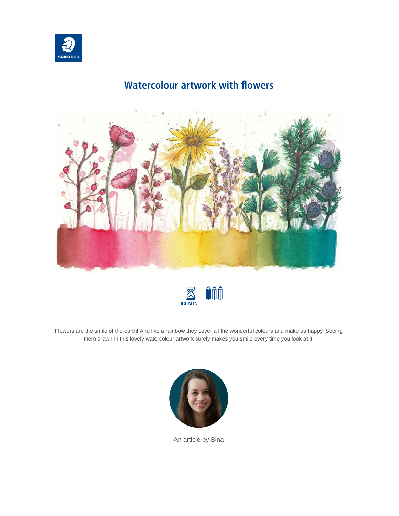

## **Watercolour artwork with flowers**





Flowers are the smile of the earth! And like a rainbow they cover all the wonderful colours and make us happy. Seeing them drawn in this lovely watercolour artwork surely makes you smile every time you look at it.



An article by Bina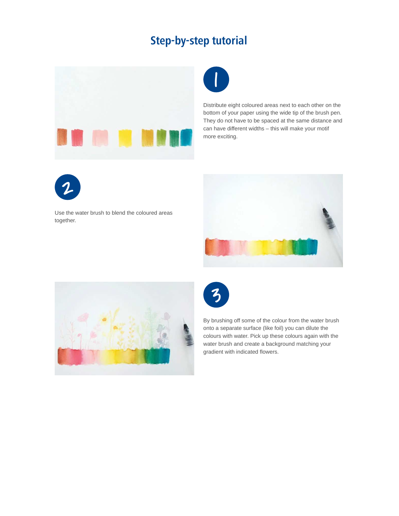## **Step-by-step tutorial**





Distribute eight coloured areas next to each other on the bottom of your paper using the wide tip of the brush pen. They do not have to be spaced at the same distance and can have different widths – this will make your motif more exciting.



Use the water brush to blend the coloured areas together.







By brushing off some of the colour from the water brush onto a separate surface (like foil) you can dilute the colours with water. Pick up these colours again with the water brush and create a background matching your gradient with indicated flowers.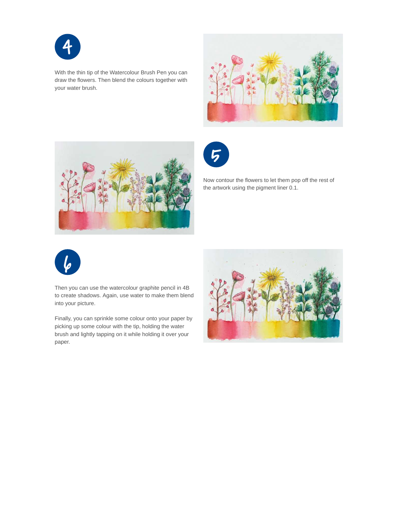

With the thin tip of the Watercolour Brush Pen you can draw the flowers. Then blend the colours together with your water brush.







Now contour the flowers to let them pop off the rest of the artwork using the pigment liner 0.1.



Then you can use the watercolour graphite pencil in 4B to create shadows. Again, use water to make them blend into your picture.

Finally, you can sprinkle some colour onto your paper by picking up some colour with the tip, holding the water brush and lightly tapping on it while holding it over your paper.